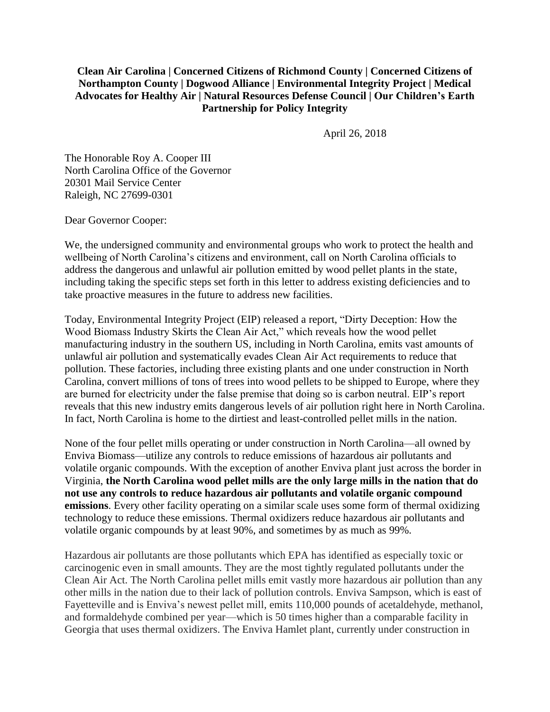## **Clean Air Carolina | Concerned Citizens of Richmond County | Concerned Citizens of Northampton County | Dogwood Alliance | Environmental Integrity Project | Medical Advocates for Healthy Air | Natural Resources Defense Council | Our Children's Earth Partnership for Policy Integrity**

April 26, 2018

The Honorable Roy A. Cooper III North Carolina Office of the Governor 20301 Mail Service Center Raleigh, NC 27699-0301

Dear Governor Cooper:

We, the undersigned community and environmental groups who work to protect the health and wellbeing of North Carolina's citizens and environment, call on North Carolina officials to address the dangerous and unlawful air pollution emitted by wood pellet plants in the state, including taking the specific steps set forth in this letter to address existing deficiencies and to take proactive measures in the future to address new facilities.

Today, Environmental Integrity Project (EIP) released a report, "Dirty Deception: How the Wood Biomass Industry Skirts the Clean Air Act," which reveals how the wood pellet manufacturing industry in the southern US, including in North Carolina, emits vast amounts of unlawful air pollution and systematically evades Clean Air Act requirements to reduce that pollution. These factories, including three existing plants and one under construction in North Carolina, convert millions of tons of trees into wood pellets to be shipped to Europe, where they are burned for electricity under the false premise that doing so is carbon neutral. EIP's report reveals that this new industry emits dangerous levels of air pollution right here in North Carolina. In fact, North Carolina is home to the dirtiest and least-controlled pellet mills in the nation.

None of the four pellet mills operating or under construction in North Carolina—all owned by Enviva Biomass—utilize any controls to reduce emissions of hazardous air pollutants and volatile organic compounds. With the exception of another Enviva plant just across the border in Virginia, **the North Carolina wood pellet mills are the only large mills in the nation that do not use any controls to reduce hazardous air pollutants and volatile organic compound emissions**. Every other facility operating on a similar scale uses some form of thermal oxidizing technology to reduce these emissions. Thermal oxidizers reduce hazardous air pollutants and volatile organic compounds by at least 90%, and sometimes by as much as 99%.

Hazardous air pollutants are those pollutants which EPA has identified as especially toxic or carcinogenic even in small amounts. They are the most tightly regulated pollutants under the Clean Air Act. The North Carolina pellet mills emit vastly more hazardous air pollution than any other mills in the nation due to their lack of pollution controls. Enviva Sampson, which is east of Fayetteville and is Enviva's newest pellet mill, emits 110,000 pounds of acetaldehyde, methanol, and formaldehyde combined per year—which is 50 times higher than a comparable facility in Georgia that uses thermal oxidizers. The Enviva Hamlet plant, currently under construction in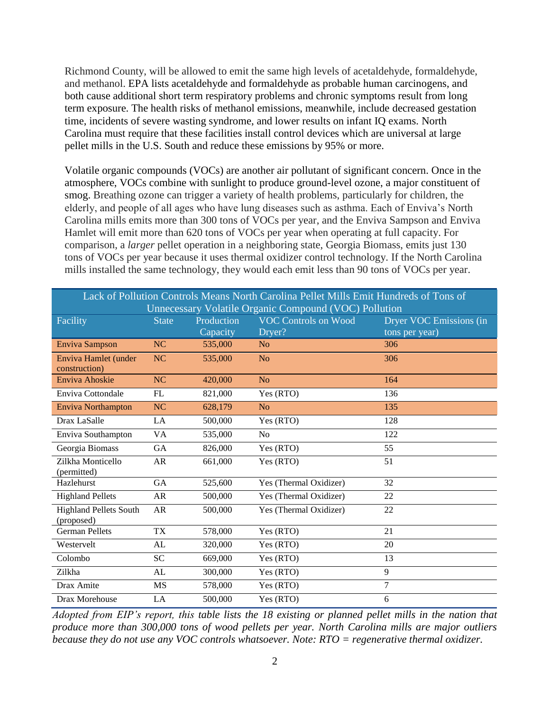Richmond County, will be allowed to emit the same high levels of acetaldehyde, formaldehyde, and methanol. EPA lists acetaldehyde and formaldehyde as probable human carcinogens, and both cause additional short term respiratory problems and chronic symptoms result from long term exposure. The health risks of methanol emissions, meanwhile, include decreased gestation time, incidents of severe wasting syndrome, and lower results on infant IQ exams. North Carolina must require that these facilities install control devices which are universal at large pellet mills in the U.S. South and reduce these emissions by 95% or more.

Volatile organic compounds (VOCs) are another air pollutant of significant concern. Once in the atmosphere, VOCs combine with sunlight to produce ground-level ozone, a major constituent of smog. Breathing ozone can trigger a variety of health problems, particularly for children, the elderly, and people of all ages who have lung diseases such as asthma. Each of Enviva's North Carolina mills emits more than 300 tons of VOCs per year, and the Enviva Sampson and Enviva Hamlet will emit more than 620 tons of VOCs per year when operating at full capacity. For comparison, a *larger* pellet operation in a neighboring state, Georgia Biomass, emits just 130 tons of VOCs per year because it uses thermal oxidizer control technology. If the North Carolina mills installed the same technology, they would each emit less than 90 tons of VOCs per year.

| Lack of Pollution Controls Means North Carolina Pellet Mills Emit Hundreds of Tons of |              |            |                             |                         |
|---------------------------------------------------------------------------------------|--------------|------------|-----------------------------|-------------------------|
| Unnecessary Volatile Organic Compound (VOC) Pollution                                 |              |            |                             |                         |
| Facility                                                                              | <b>State</b> | Production | <b>VOC Controls on Wood</b> | Dryer VOC Emissions (in |
|                                                                                       |              | Capacity   | Dryer?                      | tons per year)          |
| <b>Enviva Sampson</b>                                                                 | NC           | 535,000    | N <sub>o</sub>              | 306                     |
| Enviva Hamlet (under<br>construction)                                                 | <b>NC</b>    | 535,000    | N <sub>o</sub>              | 306                     |
| Enviva Ahoskie                                                                        | <b>NC</b>    | 420,000    | N <sub>o</sub>              | 164                     |
| Enviva Cottondale                                                                     | FL           | 821,000    | Yes (RTO)                   | 136                     |
| Enviva Northampton                                                                    | <b>NC</b>    | 628,179    | N <sub>o</sub>              | 135                     |
| Drax LaSalle                                                                          | LA           | 500,000    | Yes (RTO)                   | 128                     |
| Enviva Southampton                                                                    | <b>VA</b>    | 535,000    | N <sub>o</sub>              | 122                     |
| Georgia Biomass                                                                       | <b>GA</b>    | 826,000    | Yes (RTO)                   | 55                      |
| Zilkha Monticello<br>(permitted)                                                      | <b>AR</b>    | 661,000    | Yes (RTO)                   | 51                      |
| Hazlehurst                                                                            | GA           | 525,600    | Yes (Thermal Oxidizer)      | 32                      |
| <b>Highland Pellets</b>                                                               | AR           | 500,000    | Yes (Thermal Oxidizer)      | 22                      |
| <b>Highland Pellets South</b><br>(proposed)                                           | <b>AR</b>    | 500,000    | Yes (Thermal Oxidizer)      | 22                      |
| <b>German Pellets</b>                                                                 | <b>TX</b>    | 578,000    | Yes (RTO)                   | 21                      |
| Westervelt                                                                            | AL           | 320,000    | Yes (RTO)                   | 20                      |
| Colombo                                                                               | <b>SC</b>    | 669,000    | Yes (RTO)                   | 13                      |
| Zilkha                                                                                | AL           | 300,000    | Yes (RTO)                   | 9                       |
| Drax Amite                                                                            | <b>MS</b>    | 578,000    | Yes (RTO)                   | $\tau$                  |
| Drax Morehouse                                                                        | LA           | 500,000    | Yes (RTO)                   | 6                       |

*Adopted from EIP's report, this table lists the 18 existing or planned pellet mills in the nation that produce more than 300,000 tons of wood pellets per year. North Carolina mills are major outliers because they do not use any VOC controls whatsoever. Note: RTO = regenerative thermal oxidizer.*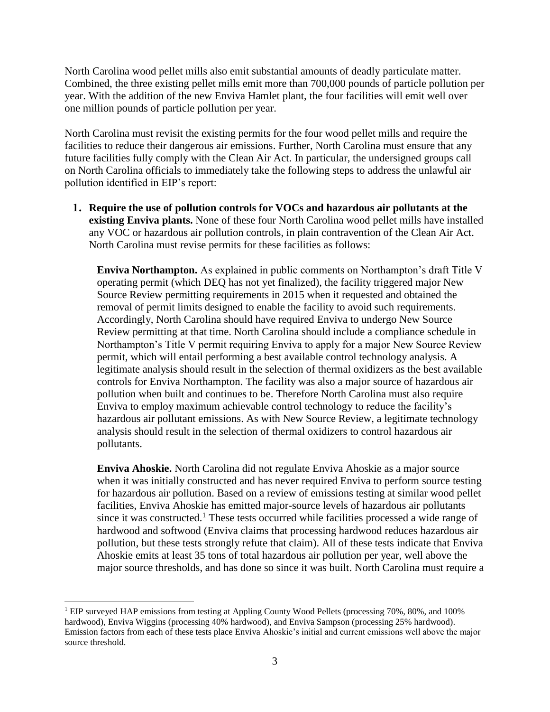North Carolina wood pellet mills also emit substantial amounts of deadly particulate matter. Combined, the three existing pellet mills emit more than 700,000 pounds of particle pollution per year. With the addition of the new Enviva Hamlet plant, the four facilities will emit well over one million pounds of particle pollution per year.

North Carolina must revisit the existing permits for the four wood pellet mills and require the facilities to reduce their dangerous air emissions. Further, North Carolina must ensure that any future facilities fully comply with the Clean Air Act. In particular, the undersigned groups call on North Carolina officials to immediately take the following steps to address the unlawful air pollution identified in EIP's report:

1. **Require the use of pollution controls for VOCs and hazardous air pollutants at the existing Enviva plants.** None of these four North Carolina wood pellet mills have installed any VOC or hazardous air pollution controls, in plain contravention of the Clean Air Act. North Carolina must revise permits for these facilities as follows:

**Enviva Northampton.** As explained in public comments on Northampton's draft Title V operating permit (which DEQ has not yet finalized), the facility triggered major New Source Review permitting requirements in 2015 when it requested and obtained the removal of permit limits designed to enable the facility to avoid such requirements. Accordingly, North Carolina should have required Enviva to undergo New Source Review permitting at that time. North Carolina should include a compliance schedule in Northampton's Title V permit requiring Enviva to apply for a major New Source Review permit, which will entail performing a best available control technology analysis. A legitimate analysis should result in the selection of thermal oxidizers as the best available controls for Enviva Northampton. The facility was also a major source of hazardous air pollution when built and continues to be. Therefore North Carolina must also require Enviva to employ maximum achievable control technology to reduce the facility's hazardous air pollutant emissions. As with New Source Review, a legitimate technology analysis should result in the selection of thermal oxidizers to control hazardous air pollutants.

**Enviva Ahoskie.** North Carolina did not regulate Enviva Ahoskie as a major source when it was initially constructed and has never required Enviva to perform source testing for hazardous air pollution. Based on a review of emissions testing at similar wood pellet facilities, Enviva Ahoskie has emitted major-source levels of hazardous air pollutants since it was constructed.<sup>1</sup> These tests occurred while facilities processed a wide range of hardwood and softwood (Enviva claims that processing hardwood reduces hazardous air pollution, but these tests strongly refute that claim). All of these tests indicate that Enviva Ahoskie emits at least 35 tons of total hazardous air pollution per year, well above the major source thresholds, and has done so since it was built. North Carolina must require a

 $\overline{a}$ 

<sup>1</sup> EIP surveyed HAP emissions from testing at Appling County Wood Pellets (processing 70%, 80%, and 100% hardwood), Enviva Wiggins (processing 40% hardwood), and Enviva Sampson (processing 25% hardwood). Emission factors from each of these tests place Enviva Ahoskie's initial and current emissions well above the major source threshold.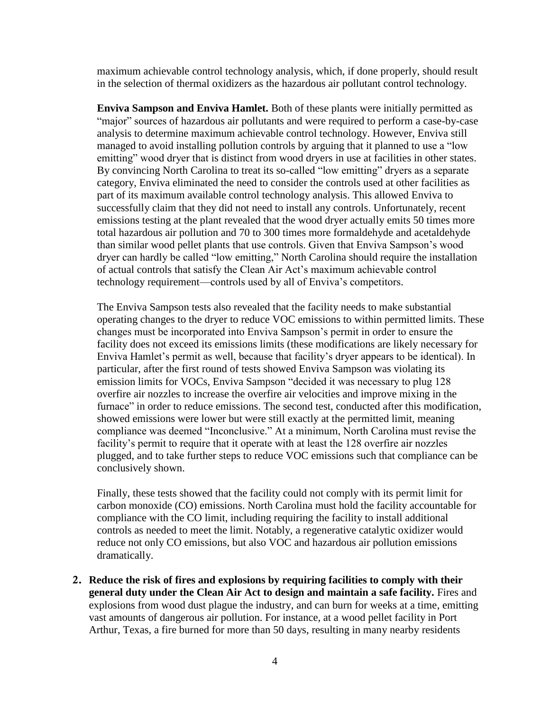maximum achievable control technology analysis, which, if done properly, should result in the selection of thermal oxidizers as the hazardous air pollutant control technology.

**Enviva Sampson and Enviva Hamlet.** Both of these plants were initially permitted as "major" sources of hazardous air pollutants and were required to perform a case-by-case analysis to determine maximum achievable control technology. However, Enviva still managed to avoid installing pollution controls by arguing that it planned to use a "low emitting" wood dryer that is distinct from wood dryers in use at facilities in other states. By convincing North Carolina to treat its so-called "low emitting" dryers as a separate category, Enviva eliminated the need to consider the controls used at other facilities as part of its maximum available control technology analysis. This allowed Enviva to successfully claim that they did not need to install any controls. Unfortunately, recent emissions testing at the plant revealed that the wood dryer actually emits 50 times more total hazardous air pollution and 70 to 300 times more formaldehyde and acetaldehyde than similar wood pellet plants that use controls. Given that Enviva Sampson's wood dryer can hardly be called "low emitting," North Carolina should require the installation of actual controls that satisfy the Clean Air Act's maximum achievable control technology requirement—controls used by all of Enviva's competitors.

The Enviva Sampson tests also revealed that the facility needs to make substantial operating changes to the dryer to reduce VOC emissions to within permitted limits. These changes must be incorporated into Enviva Sampson's permit in order to ensure the facility does not exceed its emissions limits (these modifications are likely necessary for Enviva Hamlet's permit as well, because that facility's dryer appears to be identical). In particular, after the first round of tests showed Enviva Sampson was violating its emission limits for VOCs, Enviva Sampson "decided it was necessary to plug 128 overfire air nozzles to increase the overfire air velocities and improve mixing in the furnace" in order to reduce emissions. The second test, conducted after this modification, showed emissions were lower but were still exactly at the permitted limit, meaning compliance was deemed "Inconclusive." At a minimum, North Carolina must revise the facility's permit to require that it operate with at least the 128 overfire air nozzles plugged, and to take further steps to reduce VOC emissions such that compliance can be conclusively shown.

Finally, these tests showed that the facility could not comply with its permit limit for carbon monoxide (CO) emissions. North Carolina must hold the facility accountable for compliance with the CO limit, including requiring the facility to install additional controls as needed to meet the limit. Notably, a regenerative catalytic oxidizer would reduce not only CO emissions, but also VOC and hazardous air pollution emissions dramatically.

2. **Reduce the risk of fires and explosions by requiring facilities to comply with their general duty under the Clean Air Act to design and maintain a safe facility.** Fires and explosions from wood dust plague the industry, and can burn for weeks at a time, emitting vast amounts of dangerous air pollution. For instance, at a wood pellet facility in Port Arthur, Texas, a fire burned for more than 50 days, resulting in many nearby residents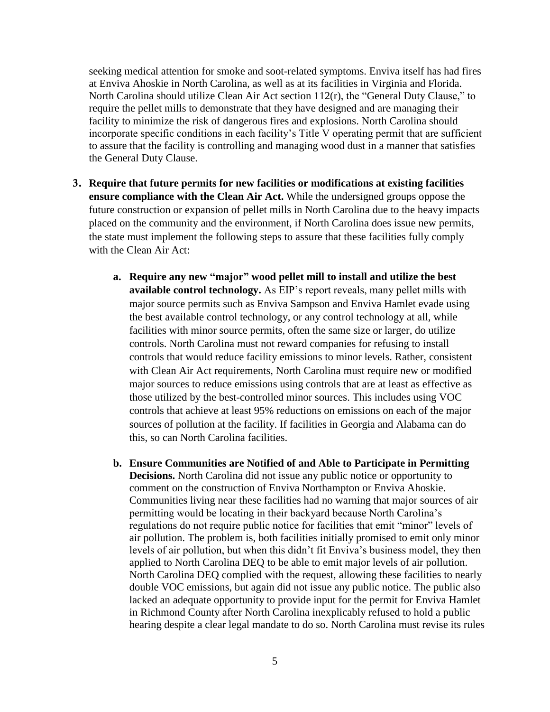seeking medical attention for smoke and soot-related symptoms. Enviva itself has had fires at Enviva Ahoskie in North Carolina, as well as at its facilities in Virginia and Florida. North Carolina should utilize Clean Air Act section 112(r), the "General Duty Clause," to require the pellet mills to demonstrate that they have designed and are managing their facility to minimize the risk of dangerous fires and explosions. North Carolina should incorporate specific conditions in each facility's Title V operating permit that are sufficient to assure that the facility is controlling and managing wood dust in a manner that satisfies the General Duty Clause.

- 3. **Require that future permits for new facilities or modifications at existing facilities ensure compliance with the Clean Air Act.** While the undersigned groups oppose the future construction or expansion of pellet mills in North Carolina due to the heavy impacts placed on the community and the environment, if North Carolina does issue new permits, the state must implement the following steps to assure that these facilities fully comply with the Clean Air Act:
	- **a. Require any new "major" wood pellet mill to install and utilize the best available control technology.** As EIP's report reveals, many pellet mills with major source permits such as Enviva Sampson and Enviva Hamlet evade using the best available control technology, or any control technology at all, while facilities with minor source permits, often the same size or larger, do utilize controls. North Carolina must not reward companies for refusing to install controls that would reduce facility emissions to minor levels. Rather, consistent with Clean Air Act requirements, North Carolina must require new or modified major sources to reduce emissions using controls that are at least as effective as those utilized by the best-controlled minor sources. This includes using VOC controls that achieve at least 95% reductions on emissions on each of the major sources of pollution at the facility. If facilities in Georgia and Alabama can do this, so can North Carolina facilities.
	- **b. Ensure Communities are Notified of and Able to Participate in Permitting Decisions.** North Carolina did not issue any public notice or opportunity to comment on the construction of Enviva Northampton or Enviva Ahoskie. Communities living near these facilities had no warning that major sources of air permitting would be locating in their backyard because North Carolina's regulations do not require public notice for facilities that emit "minor" levels of air pollution. The problem is, both facilities initially promised to emit only minor levels of air pollution, but when this didn't fit Enviva's business model, they then applied to North Carolina DEQ to be able to emit major levels of air pollution. North Carolina DEQ complied with the request, allowing these facilities to nearly double VOC emissions, but again did not issue any public notice. The public also lacked an adequate opportunity to provide input for the permit for Enviva Hamlet in Richmond County after North Carolina inexplicably refused to hold a public hearing despite a clear legal mandate to do so. North Carolina must revise its rules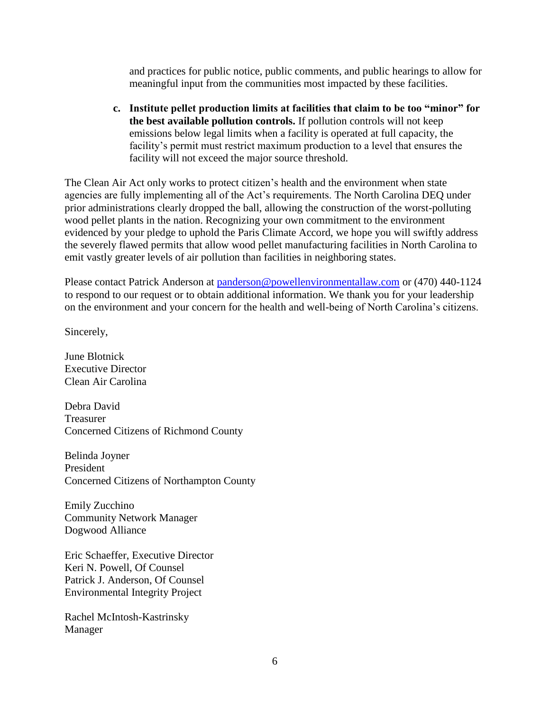and practices for public notice, public comments, and public hearings to allow for meaningful input from the communities most impacted by these facilities.

**c. Institute pellet production limits at facilities that claim to be too "minor" for the best available pollution controls.** If pollution controls will not keep emissions below legal limits when a facility is operated at full capacity, the facility's permit must restrict maximum production to a level that ensures the facility will not exceed the major source threshold.

The Clean Air Act only works to protect citizen's health and the environment when state agencies are fully implementing all of the Act's requirements. The North Carolina DEQ under prior administrations clearly dropped the ball, allowing the construction of the worst-polluting wood pellet plants in the nation. Recognizing your own commitment to the environment evidenced by your pledge to uphold the Paris Climate Accord, we hope you will swiftly address the severely flawed permits that allow wood pellet manufacturing facilities in North Carolina to emit vastly greater levels of air pollution than facilities in neighboring states.

Please contact Patrick Anderson at [panderson@powellenvironmentallaw.com](mailto:panderson@powellenvironmentallaw.com) or (470) 440-1124 to respond to our request or to obtain additional information. We thank you for your leadership on the environment and your concern for the health and well-being of North Carolina's citizens.

Sincerely,

June Blotnick Executive Director Clean Air Carolina

Debra David Treasurer Concerned Citizens of Richmond County

Belinda Joyner President Concerned Citizens of Northampton County

Emily Zucchino Community Network Manager Dogwood Alliance

Eric Schaeffer, Executive Director Keri N. Powell, Of Counsel Patrick J. Anderson, Of Counsel Environmental Integrity Project

Rachel McIntosh-Kastrinsky Manager